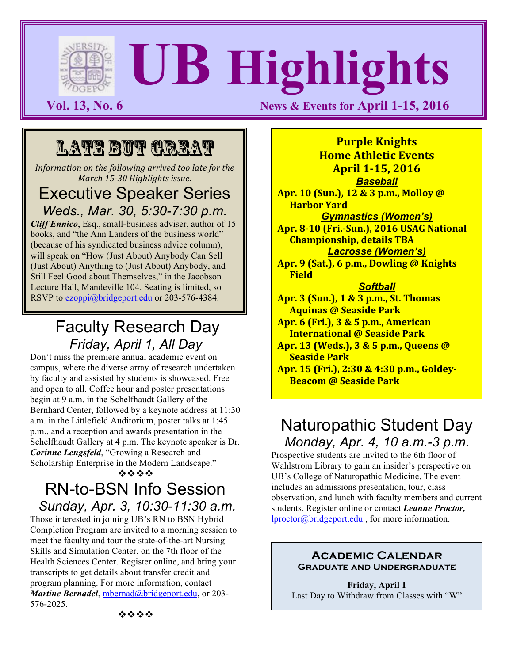# **UB Highlights**

**Vol. 13, No. 6 News & Events for April 1-15, 2016** 

## LATE BUT GREAT

*Information on the following arrived too late for the March 15-30 Highlights issue.*

### Executive Speaker Series *Weds., Mar. 30, 5:30-7:30 p.m.*

*Cliff Ennico*, Esq., small-business adviser, author of 15 books, and "the Ann Landers of the business world" (because of his syndicated business advice column), will speak on "How (Just About) Anybody Can Sell (Just About) Anything to (Just About) Anybody, and Still Feel Good about Themselves," in the Jacobson Lecture Hall, Mandeville 104. Seating is limited, so RSVP to ezoppi@bridgeport.edu or 203-576-4384.

## Faculty Research Day *Friday, April 1, All Day*

Don't miss the premiere annual academic event on campus, where the diverse array of research undertaken by faculty and assisted by students is showcased. Free and open to all. Coffee hour and poster presentations begin at 9 a.m. in the Schelfhaudt Gallery of the Bernhard Center, followed by a keynote address at 11:30 a.m. in the Littlefield Auditorium, poster talks at 1:45 p.m., and a reception and awards presentation in the Schelfhaudt Gallery at 4 p.m. The keynote speaker is Dr. *Corinne Lengsfeld*, "Growing a Research and Scholarship Enterprise in the Modern Landscape." \*\*\*\*

## RN-to-BSN Info Session *Sunday, Apr. 3, 10:30-11:30 a.m.*

Those interested in joining UB's RN to BSN Hybrid Completion Program are invited to a morning session to meet the faculty and tour the state-of-the-art Nursing Skills and Simulation Center, on the 7th floor of the Health Sciences Center. Register online, and bring your transcripts to get details about transfer credit and program planning. For more information, contact *Martine Bernadel*, *mbernad@bridgeport.edu*, or 203-576-2025.

**Purple Knights Home Athletic Events April 1-15, 2016** 

*Baseball* **Apr. 10 (Sun.), 12 & 3 p.m., Molloy @ Harbor Yard** 

*Gymnastics (Women's)* **Apr. 8-10 (Fri.-Sun.), 2016 USAG National Championship, details TBA** *Lacrosse (Women's)*

Apr. 9 (Sat.), 6 p.m., Dowling @ Knights **Field**

#### *Softball*

**Apr. 3 (Sun.), 1 & 3 p.m., St. Thomas Aquinas @ Seaside Park**

**Apr. 6 (Fri.), 3 & 5 p.m., American International @ Seaside Park** 

**Apr. 13 (Weds.), 3 & 5 p.m., Queens @ Seaside Park** 

Apr. 15 (Fri.), 2:30 & 4:30 p.m., Goldev-**Beacom @ Seaside Park**

## Naturopathic Student Day *Monday, Apr. 4, 10 a.m.-3 p.m.*

Prospective students are invited to the 6th floor of Wahlstrom Library to gain an insider's perspective on UB's College of Naturopathic Medicine. The event includes an admissions presentation, tour, class observation, and lunch with faculty members and current students. Register online or contact *Leanne Proctor,*  lproctor@bridgeport.edu , for more information.

#### **Academic Calendar Graduate and Undergraduate**

**Friday, April 1** Last Day to Withdraw from Classes with "W"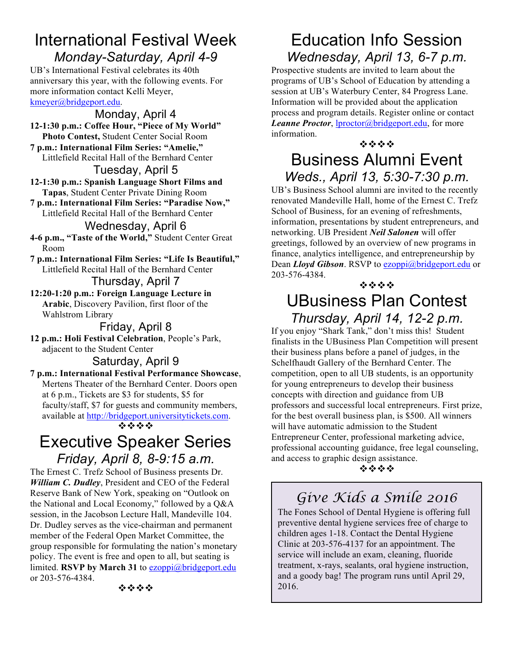## International Festival Week *Monday-Saturday, April 4-9*

UB's International Festival celebrates its 40th anniversary this year, with the following events. For more information contact Kelli Meyer, kmeyer@bridgeport.edu.

Monday, April 4 **12-1:30 p.m.: Coffee Hour, "Piece of My World" Photo Contest,** Student Center Social Room **7 p.m.: International Film Series: "Amelie,"** Littlefield Recital Hall of the Bernhard Center Tuesday, April 5 **12-1:30 p.m.: Spanish Language Short Films and Tapas**, Student Center Private Dining Room **7 p.m.: International Film Series: "Paradise Now,"** Littlefield Recital Hall of the Bernhard Center Wednesday, April 6 **4-6 p.m., "Taste of the World,"** Student Center Great Room **7 p.m.: International Film Series: "Life Is Beautiful,"** Littlefield Recital Hall of the Bernhard Center Thursday, April 7 **12:20-1:20 p.m.: Foreign Language Lecture in Arabic**, Discovery Pavilion, first floor of the Wahlstrom Library

Friday, April 8 **12 p.m.: Holi Festival Celebration**, People's Park, adjacent to the Student Center

#### Saturday, April 9 **7 p.m.: International Festival Performance Showcase**, Mertens Theater of the Bernhard Center. Doors open at 6 p.m., Tickets are \$3 for students, \$5 for faculty/staff, \$7 for guests and community members, available at http://bridgeport.universitytickets.com.

#### **1999**

## Executive Speaker Series *Friday, April 8, 8-9:15 a.m.*

The Ernest C. Trefz School of Business presents Dr. *William C. Dudley*, President and CEO of the Federal Reserve Bank of New York, speaking on "Outlook on the National and Local Economy," followed by a Q&A session, in the Jacobson Lecture Hall, Mandeville 104. Dr. Dudley serves as the vice-chairman and permanent member of the Federal Open Market Committee, the group responsible for formulating the nation's monetary policy. The event is free and open to all, but seating is limited. **RSVP by March 31** to ezoppi@bridgeport.edu or 203-576-4384.

\*\*\*

## Education Info Session *Wednesday, April 13, 6-7 p.m.*

Prospective students are invited to learn about the programs of UB's School of Education by attending a session at UB's Waterbury Center, 84 Progress Lane. Information will be provided about the application process and program details. Register online or contact *Leanne Proctor*, lproctor@bridgeport.edu, for more information.

#### **1999**

## Business Alumni Event *Weds., April 13, 5:30-7:30 p.m.*

UB's Business School alumni are invited to the recently renovated Mandeville Hall, home of the Ernest C. Trefz School of Business, for an evening of refreshments, information, presentations by student entrepreneurs, and networking. UB President *Neil Salonen* will offer greetings, followed by an overview of new programs in finance, analytics intelligence, and entrepreneurship by Dean *Lloyd Gibson*. RSVP to ezoppi@bridgeport.edu or 203-576-4384.

#### **\*\*\*\*** UBusiness Plan Contest *Thursday, April 14, 12-2 p.m.*

If you enjoy "Shark Tank," don't miss this! Student finalists in the UBusiness Plan Competition will present their business plans before a panel of judges, in the Schelfhaudt Gallery of the Bernhard Center. The competition, open to all UB students, is an opportunity for young entrepreneurs to develop their business concepts with direction and guidance from UB professors and successful local entrepreneurs. First prize, for the best overall business plan, is \$500. All winners will have automatic admission to the Student Entrepreneur Center, professional marketing advice, professional accounting guidance, free legal counseling, and access to graphic design assistance.

#### \*\*\*

## *Give Kids a Smile 2016*

The Fones School of Dental Hygiene is offering full preventive dental hygiene services free of charge to children ages 1-18. Contact the Dental Hygiene Clinic at 203-576-4137 for an appointment. The service will include an exam, cleaning, fluoride treatment, x-rays, sealants, oral hygiene instruction, and a goody bag! The program runs until April 29, 2016.